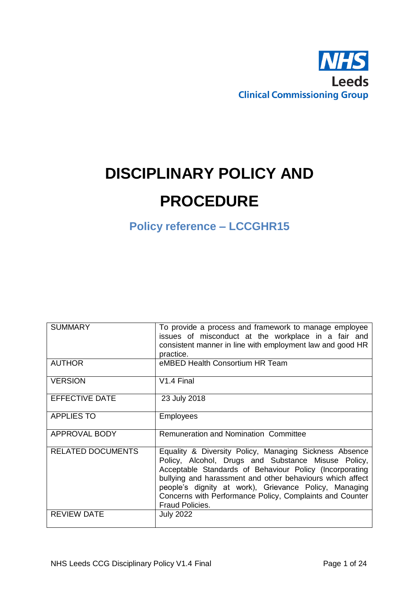

# **DISCIPLINARY POLICY AND PROCEDURE**

**Policy reference – LCCGHR15**

| <b>SUMMARY</b>           | To provide a process and framework to manage employee<br>issues of misconduct at the workplace in a fair and                                                                                                                                                                                                                                                                  |
|--------------------------|-------------------------------------------------------------------------------------------------------------------------------------------------------------------------------------------------------------------------------------------------------------------------------------------------------------------------------------------------------------------------------|
|                          | consistent manner in line with employment law and good HR                                                                                                                                                                                                                                                                                                                     |
|                          | practice.                                                                                                                                                                                                                                                                                                                                                                     |
| <b>AUTHOR</b>            | eMBED Health Consortium HR Team                                                                                                                                                                                                                                                                                                                                               |
| <b>VERSION</b>           | V <sub>1.4</sub> Final                                                                                                                                                                                                                                                                                                                                                        |
| <b>EFFECTIVE DATE</b>    | 23 July 2018                                                                                                                                                                                                                                                                                                                                                                  |
| <b>APPLIES TO</b>        | <b>Employees</b>                                                                                                                                                                                                                                                                                                                                                              |
| APPROVAL BODY            | Remuneration and Nomination Committee                                                                                                                                                                                                                                                                                                                                         |
| <b>RELATED DOCUMENTS</b> | Equality & Diversity Policy, Managing Sickness Absence<br>Policy, Alcohol, Drugs and Substance Misuse Policy,<br>Acceptable Standards of Behaviour Policy (Incorporating<br>bullying and harassment and other behaviours which affect<br>people's dignity at work), Grievance Policy, Managing<br>Concerns with Performance Policy, Complaints and Counter<br>Fraud Policies. |
| <b>REVIEW DATE</b>       | <b>July 2022</b>                                                                                                                                                                                                                                                                                                                                                              |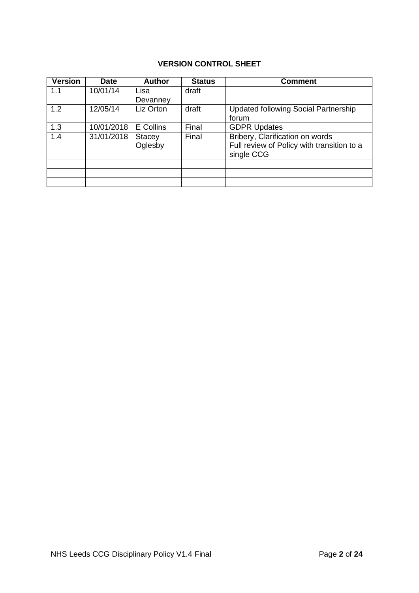# **VERSION CONTROL SHEET**

| <b>Version</b> | <b>Date</b> | <b>Author</b> | <b>Status</b> | <b>Comment</b>                             |
|----------------|-------------|---------------|---------------|--------------------------------------------|
| 1.1            | 10/01/14    | Lisa          | draft         |                                            |
|                |             | Devanney      |               |                                            |
| 1.2            | 12/05/14    | Liz Orton     | draft         | Updated following Social Partnership       |
|                |             |               |               | forum                                      |
| 1.3            | 10/01/2018  | E Collins     | Final         | <b>GDPR Updates</b>                        |
| 1.4            | 31/01/2018  | Stacey        | Final         | Bribery, Clarification on words            |
|                |             | Oglesby       |               | Full review of Policy with transition to a |
|                |             |               |               | single CCG                                 |
|                |             |               |               |                                            |
|                |             |               |               |                                            |
|                |             |               |               |                                            |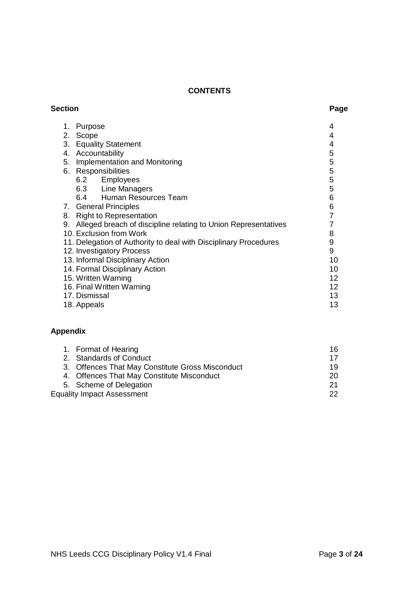# **CONTENTS**

| 1. | Purpose                                                          | 4  |
|----|------------------------------------------------------------------|----|
| 2. | Scope                                                            | 4  |
| 3. | <b>Equality Statement</b>                                        | 4  |
| 4. | Accountability                                                   | 5  |
| 5. | Implementation and Monitoring                                    | 5  |
| 6. | Responsibilities                                                 | 5  |
|    | 6.2 Employees                                                    | 5  |
|    | 6.3 Line Managers                                                | 5  |
|    | 6.4 Human Resources Team                                         | 6  |
|    | 7. General Principles                                            | 6  |
| 8. | <b>Right to Representation</b>                                   |    |
| 9. | Alleged breach of discipline relating to Union Representatives   | 7  |
|    | 10. Exclusion from Work                                          | 8  |
|    | 11. Delegation of Authority to deal with Disciplinary Procedures | 9  |
|    | 12. Investigatory Process                                        | 9  |
|    | 13. Informal Disciplinary Action                                 | 10 |
|    | 14. Formal Disciplinary Action                                   | 10 |
|    | 15. Written Warning                                              | 12 |
|    | 16. Final Written Warning                                        | 12 |
|    | 17. Dismissal                                                    | 13 |
|    | 18. Appeals                                                      | 13 |

# **Appendix**

| 1. Format of Hearing                             | 16  |
|--------------------------------------------------|-----|
| 2. Standards of Conduct                          | 17  |
| 3. Offences That May Constitute Gross Misconduct | 19  |
| 4. Offences That May Constitute Misconduct       | 20  |
| 5. Scheme of Delegation                          | -21 |
| <b>Equality Impact Assessment</b>                | 22  |
|                                                  |     |

### **Section Page**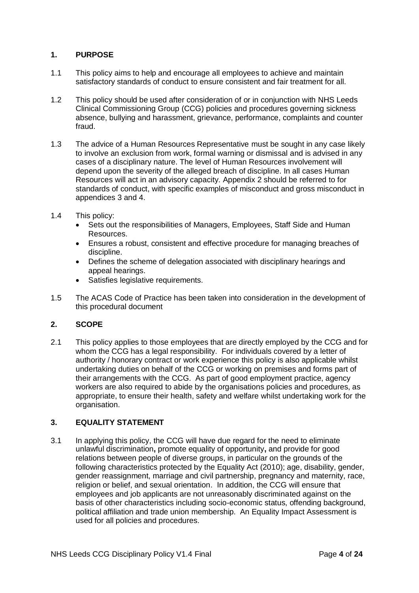# **1. PURPOSE**

- 1.1 This policy aims to help and encourage all employees to achieve and maintain satisfactory standards of conduct to ensure consistent and fair treatment for all.
- 1.2 This policy should be used after consideration of or in conjunction with NHS Leeds Clinical Commissioning Group (CCG) policies and procedures governing sickness absence, bullying and harassment, grievance, performance, complaints and counter fraud.
- 1.3 The advice of a Human Resources Representative must be sought in any case likely to involve an exclusion from work, formal warning or dismissal and is advised in any cases of a disciplinary nature. The level of Human Resources involvement will depend upon the severity of the alleged breach of discipline. In all cases Human Resources will act in an advisory capacity. Appendix 2 should be referred to for standards of conduct, with specific examples of misconduct and gross misconduct in appendices 3 and 4.
- 1.4 This policy:
	- Sets out the responsibilities of Managers, Employees, Staff Side and Human Resources.
	- Ensures a robust, consistent and effective procedure for managing breaches of discipline.
	- Defines the scheme of delegation associated with disciplinary hearings and appeal hearings.
	- Satisfies legislative requirements.
- 1.5 The ACAS Code of Practice has been taken into consideration in the development of this procedural document

## **2. SCOPE**

2.1 This policy applies to those employees that are directly employed by the CCG and for whom the CCG has a legal responsibility. For individuals covered by a letter of authority / honorary contract or work experience this policy is also applicable whilst undertaking duties on behalf of the CCG or working on premises and forms part of their arrangements with the CCG. As part of good employment practice, agency workers are also required to abide by the organisations policies and procedures, as appropriate, to ensure their health, safety and welfare whilst undertaking work for the organisation.

# **3. EQUALITY STATEMENT**

3.1 In applying this policy, the CCG will have due regard for the need to eliminate unlawful discrimination**,** promote equality of opportunity**,** and provide for good relations between people of diverse groups, in particular on the grounds of the following characteristics protected by the Equality Act (2010); age, disability, gender, gender reassignment, marriage and civil partnership, pregnancy and maternity, race, religion or belief, and sexual orientation. In addition, the CCG will ensure that employees and job applicants are not unreasonably discriminated against on the basis of other characteristics including socio-economic status, offending background, political affiliation and trade union membership. An Equality Impact Assessment is used for all policies and procedures.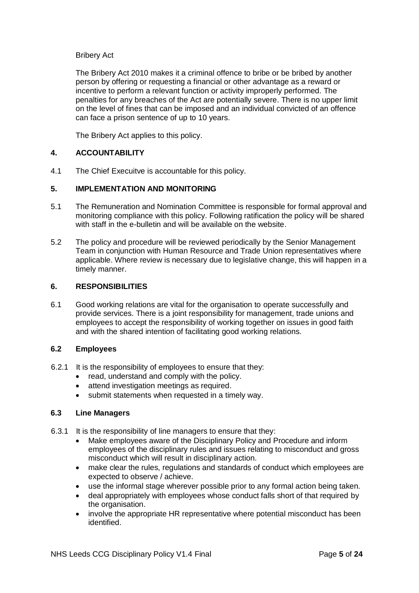#### Bribery Act

The Bribery Act 2010 makes it a criminal offence to bribe or be bribed by another person by offering or requesting a financial or other advantage as a reward or incentive to perform a relevant function or activity improperly performed. The penalties for any breaches of the Act are potentially severe. There is no upper limit on the level of fines that can be imposed and an individual convicted of an offence can face a prison sentence of up to 10 years.

The Bribery Act applies to this policy.

## **4. ACCOUNTABILITY**

4.1 The Chief Execuitve is accountable for this policy.

#### **5. IMPLEMENTATION AND MONITORING**

- 5.1 The Remuneration and Nomination Committee is responsible for formal approval and monitoring compliance with this policy. Following ratification the policy will be shared with staff in the e-bulletin and will be available on the website.
- 5.2 The policy and procedure will be reviewed periodically by the Senior Management Team in conjunction with Human Resource and Trade Union representatives where applicable. Where review is necessary due to legislative change, this will happen in a timely manner.

#### **6. RESPONSIBILITIES**

6.1 Good working relations are vital for the organisation to operate successfully and provide services. There is a joint responsibility for management, trade unions and employees to accept the responsibility of working together on issues in good faith and with the shared intention of facilitating good working relations.

#### **6.2 Employees**

- 6.2.1 It is the responsibility of employees to ensure that they:
	- read, understand and comply with the policy.
	- attend investigation meetings as required.
	- submit statements when requested in a timely way.

#### **6.3 Line Managers**

- 6.3.1 It is the responsibility of line managers to ensure that they:
	- Make employees aware of the Disciplinary Policy and Procedure and inform employees of the disciplinary rules and issues relating to misconduct and gross misconduct which will result in disciplinary action.
	- make clear the rules, regulations and standards of conduct which employees are expected to observe / achieve.
	- use the informal stage wherever possible prior to any formal action being taken.
	- deal appropriately with employees whose conduct falls short of that required by the organisation.
	- involve the appropriate HR representative where potential misconduct has been identified.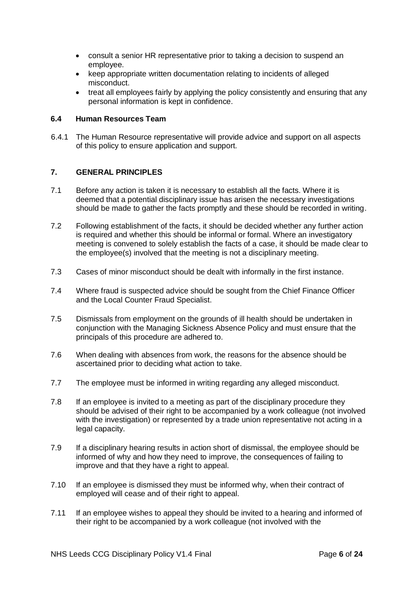- consult a senior HR representative prior to taking a decision to suspend an employee.
- keep appropriate written documentation relating to incidents of alleged misconduct.
- treat all employees fairly by applying the policy consistently and ensuring that any personal information is kept in confidence.

#### **6.4 Human Resources Team**

6.4.1 The Human Resource representative will provide advice and support on all aspects of this policy to ensure application and support.

## **7. GENERAL PRINCIPLES**

- 7.1 Before any action is taken it is necessary to establish all the facts. Where it is deemed that a potential disciplinary issue has arisen the necessary investigations should be made to gather the facts promptly and these should be recorded in writing.
- 7.2 Following establishment of the facts, it should be decided whether any further action is required and whether this should be informal or formal. Where an investigatory meeting is convened to solely establish the facts of a case, it should be made clear to the employee(s) involved that the meeting is not a disciplinary meeting.
- 7.3 Cases of minor misconduct should be dealt with informally in the first instance.
- 7.4 Where fraud is suspected advice should be sought from the Chief Finance Officer and the Local Counter Fraud Specialist.
- 7.5 Dismissals from employment on the grounds of ill health should be undertaken in conjunction with the Managing Sickness Absence Policy and must ensure that the principals of this procedure are adhered to.
- 7.6 When dealing with absences from work, the reasons for the absence should be ascertained prior to deciding what action to take.
- 7.7 The employee must be informed in writing regarding any alleged misconduct.
- 7.8 If an employee is invited to a meeting as part of the disciplinary procedure they should be advised of their right to be accompanied by a work colleague (not involved with the investigation) or represented by a trade union representative not acting in a legal capacity.
- 7.9 If a disciplinary hearing results in action short of dismissal, the employee should be informed of why and how they need to improve, the consequences of failing to improve and that they have a right to appeal.
- 7.10 If an employee is dismissed they must be informed why, when their contract of employed will cease and of their right to appeal.
- 7.11 If an employee wishes to appeal they should be invited to a hearing and informed of their right to be accompanied by a work colleague (not involved with the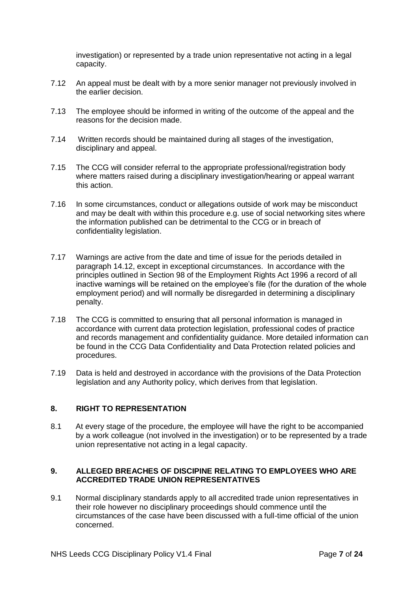investigation) or represented by a trade union representative not acting in a legal capacity.

- 7.12 An appeal must be dealt with by a more senior manager not previously involved in the earlier decision.
- 7.13 The employee should be informed in writing of the outcome of the appeal and the reasons for the decision made.
- 7.14 Written records should be maintained during all stages of the investigation, disciplinary and appeal.
- 7.15 The CCG will consider referral to the appropriate professional/registration body where matters raised during a disciplinary investigation/hearing or appeal warrant this action.
- 7.16 In some circumstances, conduct or allegations outside of work may be misconduct and may be dealt with within this procedure e.g. use of social networking sites where the information published can be detrimental to the CCG or in breach of confidentiality legislation.
- 7.17 Warnings are active from the date and time of issue for the periods detailed in paragraph 14.12, except in exceptional circumstances. In accordance with the principles outlined in Section 98 of the Employment Rights Act 1996 a record of all inactive warnings will be retained on the employee's file (for the duration of the whole employment period) and will normally be disregarded in determining a disciplinary penalty.
- 7.18 The CCG is committed to ensuring that all personal information is managed in accordance with current data protection legislation, professional codes of practice and records management and confidentiality guidance. More detailed information can be found in the CCG Data Confidentiality and Data Protection related policies and procedures.
- 7.19 Data is held and destroyed in accordance with the provisions of the Data Protection legislation and any Authority policy, which derives from that legislation.

## **8. RIGHT TO REPRESENTATION**

8.1 At every stage of the procedure, the employee will have the right to be accompanied by a work colleague (not involved in the investigation) or to be represented by a trade union representative not acting in a legal capacity.

## **9. ALLEGED BREACHES OF DISCIPINE RELATING TO EMPLOYEES WHO ARE ACCREDITED TRADE UNION REPRESENTATIVES**

9.1 Normal disciplinary standards apply to all accredited trade union representatives in their role however no disciplinary proceedings should commence until the circumstances of the case have been discussed with a full-time official of the union concerned.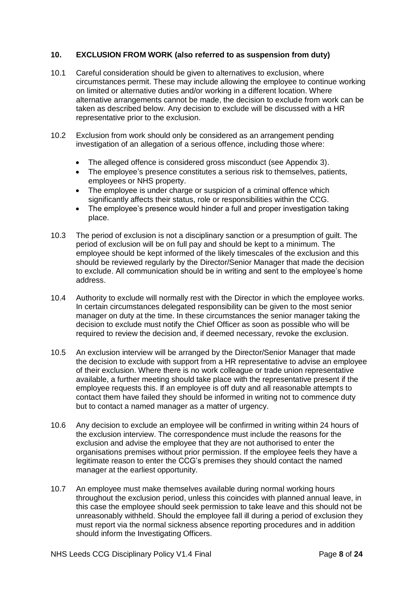#### **10. EXCLUSION FROM WORK (also referred to as suspension from duty)**

- 10.1 Careful consideration should be given to alternatives to exclusion, where circumstances permit. These may include allowing the employee to continue working on limited or alternative duties and/or working in a different location. Where alternative arrangements cannot be made, the decision to exclude from work can be taken as described below. Any decision to exclude will be discussed with a HR representative prior to the exclusion.
- 10.2 Exclusion from work should only be considered as an arrangement pending investigation of an allegation of a serious offence, including those where:
	- The alleged offence is considered gross misconduct (see Appendix 3).
	- The employee's presence constitutes a serious risk to themselves, patients, employees or NHS property.
	- The employee is under charge or suspicion of a criminal offence which significantly affects their status, role or responsibilities within the CCG.
	- The employee's presence would hinder a full and proper investigation taking place.
- 10.3 The period of exclusion is not a disciplinary sanction or a presumption of guilt. The period of exclusion will be on full pay and should be kept to a minimum. The employee should be kept informed of the likely timescales of the exclusion and this should be reviewed regularly by the Director/Senior Manager that made the decision to exclude. All communication should be in writing and sent to the employee's home address.
- 10.4 Authority to exclude will normally rest with the Director in which the employee works. In certain circumstances delegated responsibility can be given to the most senior manager on duty at the time. In these circumstances the senior manager taking the decision to exclude must notify the Chief Officer as soon as possible who will be required to review the decision and, if deemed necessary, revoke the exclusion.
- 10.5 An exclusion interview will be arranged by the Director/Senior Manager that made the decision to exclude with support from a HR representative to advise an employee of their exclusion. Where there is no work colleague or trade union representative available, a further meeting should take place with the representative present if the employee requests this. If an employee is off duty and all reasonable attempts to contact them have failed they should be informed in writing not to commence duty but to contact a named manager as a matter of urgency.
- 10.6 Any decision to exclude an employee will be confirmed in writing within 24 hours of the exclusion interview. The correspondence must include the reasons for the exclusion and advise the employee that they are not authorised to enter the organisations premises without prior permission. If the employee feels they have a legitimate reason to enter the CCG's premises they should contact the named manager at the earliest opportunity.
- 10.7 An employee must make themselves available during normal working hours throughout the exclusion period, unless this coincides with planned annual leave, in this case the employee should seek permission to take leave and this should not be unreasonably withheld. Should the employee fall ill during a period of exclusion they must report via the normal sickness absence reporting procedures and in addition should inform the Investigating Officers.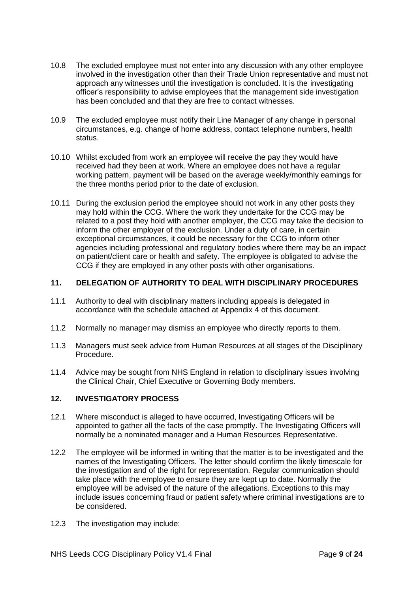- 10.8 The excluded employee must not enter into any discussion with any other employee involved in the investigation other than their Trade Union representative and must not approach any witnesses until the investigation is concluded. It is the investigating officer's responsibility to advise employees that the management side investigation has been concluded and that they are free to contact witnesses.
- 10.9 The excluded employee must notify their Line Manager of any change in personal circumstances, e.g. change of home address, contact telephone numbers, health status.
- 10.10 Whilst excluded from work an employee will receive the pay they would have received had they been at work. Where an employee does not have a regular working pattern, payment will be based on the average weekly/monthly earnings for the three months period prior to the date of exclusion.
- 10.11 During the exclusion period the employee should not work in any other posts they may hold within the CCG. Where the work they undertake for the CCG may be related to a post they hold with another employer, the CCG may take the decision to inform the other employer of the exclusion. Under a duty of care, in certain exceptional circumstances, it could be necessary for the CCG to inform other agencies including professional and regulatory bodies where there may be an impact on patient/client care or health and safety. The employee is obligated to advise the CCG if they are employed in any other posts with other organisations.

## **11. DELEGATION OF AUTHORITY TO DEAL WITH DISCIPLINARY PROCEDURES**

- 11.1 Authority to deal with disciplinary matters including appeals is delegated in accordance with the schedule attached at Appendix 4 of this document.
- 11.2 Normally no manager may dismiss an employee who directly reports to them.
- 11.3 Managers must seek advice from Human Resources at all stages of the Disciplinary Procedure.
- 11.4 Advice may be sought from NHS England in relation to disciplinary issues involving the Clinical Chair, Chief Executive or Governing Body members.

# **12. INVESTIGATORY PROCESS**

- 12.1 Where misconduct is alleged to have occurred, Investigating Officers will be appointed to gather all the facts of the case promptly. The Investigating Officers will normally be a nominated manager and a Human Resources Representative.
- 12.2 The employee will be informed in writing that the matter is to be investigated and the names of the Investigating Officers. The letter should confirm the likely timescale for the investigation and of the right for representation. Regular communication should take place with the employee to ensure they are kept up to date. Normally the employee will be advised of the nature of the allegations. Exceptions to this may include issues concerning fraud or patient safety where criminal investigations are to be considered.
- 12.3 The investigation may include: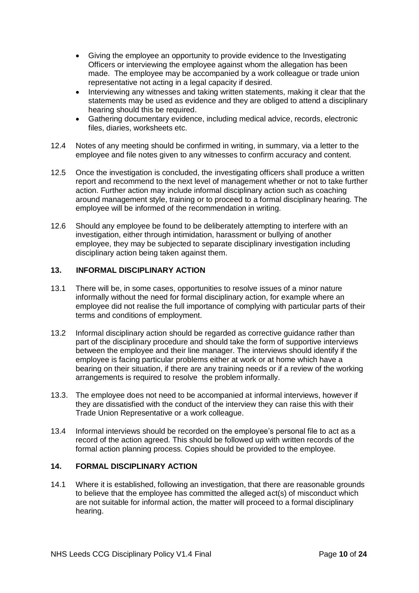- Giving the employee an opportunity to provide evidence to the Investigating Officers or interviewing the employee against whom the allegation has been made. The employee may be accompanied by a work colleague or trade union representative not acting in a legal capacity if desired.
- Interviewing any witnesses and taking written statements, making it clear that the statements may be used as evidence and they are obliged to attend a disciplinary hearing should this be required.
- Gathering documentary evidence, including medical advice, records, electronic files, diaries, worksheets etc.
- 12.4 Notes of any meeting should be confirmed in writing, in summary, via a letter to the employee and file notes given to any witnesses to confirm accuracy and content.
- 12.5 Once the investigation is concluded, the investigating officers shall produce a written report and recommend to the next level of management whether or not to take further action. Further action may include informal disciplinary action such as coaching around management style, training or to proceed to a formal disciplinary hearing. The employee will be informed of the recommendation in writing.
- 12.6 Should any employee be found to be deliberately attempting to interfere with an investigation, either through intimidation, harassment or bullying of another employee, they may be subjected to separate disciplinary investigation including disciplinary action being taken against them.

# **13. INFORMAL DISCIPLINARY ACTION**

- 13.1 There will be, in some cases, opportunities to resolve issues of a minor nature informally without the need for formal disciplinary action, for example where an employee did not realise the full importance of complying with particular parts of their terms and conditions of employment.
- 13.2 Informal disciplinary action should be regarded as corrective guidance rather than part of the disciplinary procedure and should take the form of supportive interviews between the employee and their line manager. The interviews should identify if the employee is facing particular problems either at work or at home which have a bearing on their situation, if there are any training needs or if a review of the working arrangements is required to resolve the problem informally.
- 13.3. The employee does not need to be accompanied at informal interviews, however if they are dissatisfied with the conduct of the interview they can raise this with their Trade Union Representative or a work colleague.
- 13.4 Informal interviews should be recorded on the employee's personal file to act as a record of the action agreed. This should be followed up with written records of the formal action planning process. Copies should be provided to the employee.

# **14. FORMAL DISCIPLINARY ACTION**

14.1 Where it is established, following an investigation, that there are reasonable grounds to believe that the employee has committed the alleged act(s) of misconduct which are not suitable for informal action, the matter will proceed to a formal disciplinary hearing.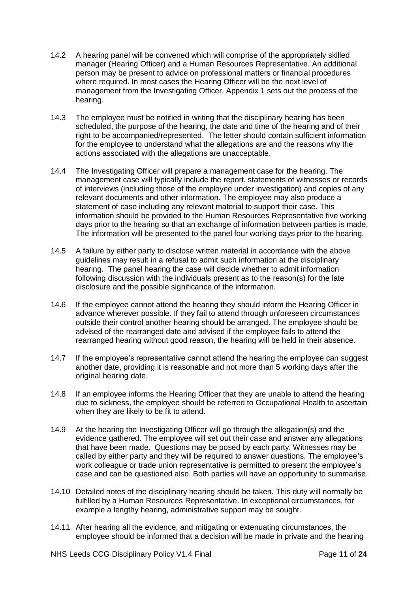- 14.2 A hearing panel will be convened which will comprise of the appropriately skilled manager (Hearing Officer) and a Human Resources Representative. An additional person may be present to advice on professional matters or financial procedures where required. In most cases the Hearing Officer will be the next level of management from the Investigating Officer. Appendix 1 sets out the process of the hearing.
- 14.3 The employee must be notified in writing that the disciplinary hearing has been scheduled, the purpose of the hearing, the date and time of the hearing and of their right to be accompanied/represented. The letter should contain sufficient information for the employee to understand what the allegations are and the reasons why the actions associated with the allegations are unacceptable.
- 14.4 The Investigating Officer will prepare a management case for the hearing. The management case will typically include the report, statements of witnesses or records of interviews (including those of the employee under investigation) and copies of any relevant documents and other information. The employee may also produce a statement of case including any relevant material to support their case. This information should be provided to the Human Resources Representative five working days prior to the hearing so that an exchange of information between parties is made. The information will be presented to the panel four working days prior to the hearing.
- 14.5 A failure by either party to disclose written material in accordance with the above guidelines may result in a refusal to admit such information at the disciplinary hearing. The panel hearing the case will decide whether to admit information following discussion with the individuals present as to the reason(s) for the late disclosure and the possible significance of the information.
- 14.6 If the employee cannot attend the hearing they should inform the Hearing Officer in advance wherever possible. If they fail to attend through unforeseen circumstances outside their control another hearing should be arranged. The employee should be advised of the rearranged date and advised if the employee fails to attend the rearranged hearing without good reason, the hearing will be held in their absence.
- 14.7 If the employee's representative cannot attend the hearing the employee can suggest another date, providing it is reasonable and not more than 5 working days after the original hearing date.
- 14.8 If an employee informs the Hearing Officer that they are unable to attend the hearing due to sickness, the employee should be referred to Occupational Health to ascertain when they are likely to be fit to attend.
- 14.9 At the hearing the Investigating Officer will go through the allegation(s) and the evidence gathered. The employee will set out their case and answer any allegations that have been made. Questions may be posed by each party. Witnesses may be called by either party and they will be required to answer questions. The employee's work colleague or trade union representative is permitted to present the employee's case and can be questioned also. Both parties will have an opportunity to summarise.
- 14.10 Detailed notes of the disciplinary hearing should be taken. This duty will normally be fulfilled by a Human Resources Representative. In exceptional circumstances, for example a lengthy hearing, administrative support may be sought.
- 14.11 After hearing all the evidence, and mitigating or extenuating circumstances, the employee should be informed that a decision will be made in private and the hearing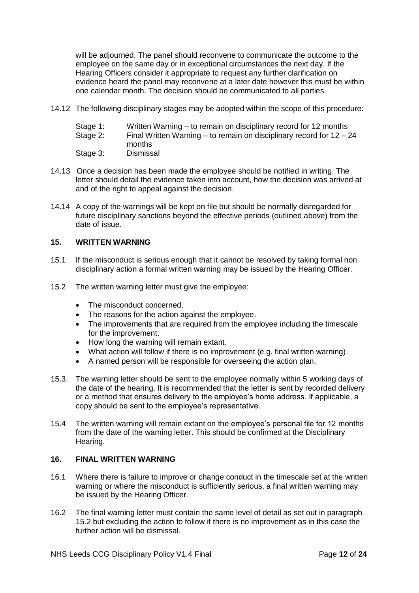will be adjourned. The panel should reconvene to communicate the outcome to the employee on the same day or in exceptional circumstances the next day. If the Hearing Officers consider it appropriate to request any further clarification on evidence heard the panel may reconvene at a later date however this must be within one calendar month. The decision should be communicated to all parties.

14.12 The following disciplinary stages may be adopted within the scope of this procedure:

| Stage 1: |  | Written Warning – to remain on disciplinary record for 12 months |
|----------|--|------------------------------------------------------------------|
|----------|--|------------------------------------------------------------------|

- Stage 2: Final Written Warning to remain on disciplinary record for 12 24 months<br>Dismissal
- Stage 3:
- 14.13 Once a decision has been made the employee should be notified in writing. The letter should detail the evidence taken into account, how the decision was arrived at and of the right to appeal against the decision.
- 14.14 A copy of the warnings will be kept on file but should be normally disregarded for future disciplinary sanctions beyond the effective periods (outlined above) from the date of issue.

#### **15. WRITTEN WARNING**

- 15.1 If the misconduct is serious enough that it cannot be resolved by taking formal non disciplinary action a formal written warning may be issued by the Hearing Officer.
- 15.2 The written warning letter must give the employee:
	- The misconduct concerned.
	- The reasons for the action against the employee.
	- The improvements that are required from the employee including the timescale for the improvement.
	- How long the warning will remain extant.
	- What action will follow if there is no improvement (e.g. final written warning).
	- A named person will be responsible for overseeing the action plan.
- 15.3. The warning letter should be sent to the employee normally within 5 working days of the date of the hearing. It is recommended that the letter is sent by recorded delivery or a method that ensures delivery to the employee's home address. If applicable, a copy should be sent to the employee's representative.
- 15.4 The written warning will remain extant on the employee's personal file for 12 months from the date of the warning letter. This should be confirmed at the Disciplinary Hearing.

# **16. FINAL WRITTEN WARNING**

- 16.1 Where there is failure to improve or change conduct in the timescale set at the written warning or where the misconduct is sufficiently serious, a final written warning may be issued by the Hearing Officer.
- 16.2 The final warning letter must contain the same level of detail as set out in paragraph 15.2 but excluding the action to follow if there is no improvement as in this case the further action will be dismissal.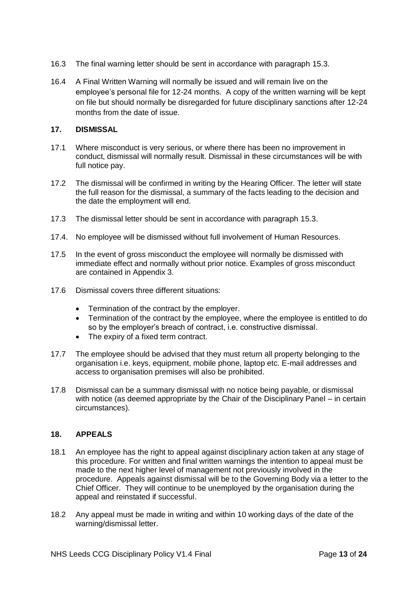- 16.3 The final warning letter should be sent in accordance with paragraph 15.3.
- 16.4 A Final Written Warning will normally be issued and will remain live on the employee's personal file for 12-24 months. A copy of the written warning will be kept on file but should normally be disregarded for future disciplinary sanctions after 12-24 months from the date of issue.

## **17. DISMISSAL**

- 17.1 Where misconduct is very serious, or where there has been no improvement in conduct, dismissal will normally result. Dismissal in these circumstances will be with full notice pay.
- 17.2 The dismissal will be confirmed in writing by the Hearing Officer. The letter will state the full reason for the dismissal, a summary of the facts leading to the decision and the date the employment will end.
- 17.3 The dismissal letter should be sent in accordance with paragraph 15.3.
- 17.4. No employee will be dismissed without full involvement of Human Resources.
- 17.5 In the event of gross misconduct the employee will normally be dismissed with immediate effect and normally without prior notice. Examples of gross misconduct are contained in Appendix 3.
- 17.6 Dismissal covers three different situations:
	- Termination of the contract by the employer.
	- Termination of the contract by the employee, where the employee is entitled to do so by the employer's breach of contract, i.e. constructive dismissal.
	- The expiry of a fixed term contract.
- 17.7 The employee should be advised that they must return all property belonging to the organisation i.e. keys, equipment, mobile phone, laptop etc. E-mail addresses and access to organisation premises will also be prohibited.
- 17.8 Dismissal can be a summary dismissal with no notice being payable, or dismissal with notice (as deemed appropriate by the Chair of the Disciplinary Panel – in certain circumstances).

# **18. APPEALS**

- 18.1 An employee has the right to appeal against disciplinary action taken at any stage of this procedure. For written and final written warnings the intention to appeal must be made to the next higher level of management not previously involved in the procedure. Appeals against dismissal will be to the Governing Body via a letter to the Chief Officer. They will continue to be unemployed by the organisation during the appeal and reinstated if successful.
- 18.2 Any appeal must be made in writing and within 10 working days of the date of the warning/dismissal letter.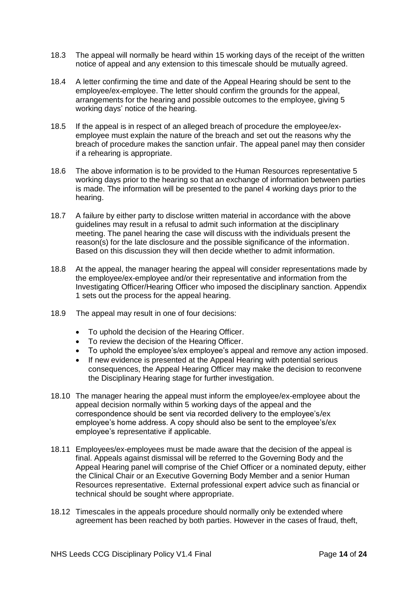- 18.3 The appeal will normally be heard within 15 working days of the receipt of the written notice of appeal and any extension to this timescale should be mutually agreed.
- 18.4 A letter confirming the time and date of the Appeal Hearing should be sent to the employee/ex-employee. The letter should confirm the grounds for the appeal, arrangements for the hearing and possible outcomes to the employee, giving 5 working days' notice of the hearing.
- 18.5 If the appeal is in respect of an alleged breach of procedure the employee/exemployee must explain the nature of the breach and set out the reasons why the breach of procedure makes the sanction unfair. The appeal panel may then consider if a rehearing is appropriate.
- 18.6 The above information is to be provided to the Human Resources representative 5 working days prior to the hearing so that an exchange of information between parties is made. The information will be presented to the panel 4 working days prior to the hearing.
- 18.7 A failure by either party to disclose written material in accordance with the above guidelines may result in a refusal to admit such information at the disciplinary meeting. The panel hearing the case will discuss with the individuals present the reason(s) for the late disclosure and the possible significance of the information. Based on this discussion they will then decide whether to admit information.
- 18.8 At the appeal, the manager hearing the appeal will consider representations made by the employee/ex-employee and/or their representative and information from the Investigating Officer/Hearing Officer who imposed the disciplinary sanction. Appendix 1 sets out the process for the appeal hearing.
- 18.9 The appeal may result in one of four decisions:
	- To uphold the decision of the Hearing Officer.
	- To review the decision of the Hearing Officer.
	- To uphold the employee's/ex employee's appeal and remove any action imposed.<br>• If new evidence is presented at the Appeal Hearing with potential serious
	- If new evidence is presented at the Appeal Hearing with potential serious consequences, the Appeal Hearing Officer may make the decision to reconvene the Disciplinary Hearing stage for further investigation.
- 18.10 The manager hearing the appeal must inform the employee/ex-employee about the appeal decision normally within 5 working days of the appeal and the correspondence should be sent via recorded delivery to the employee's/ex employee's home address. A copy should also be sent to the employee's/ex employee's representative if applicable.
- 18.11 Employees/ex-employees must be made aware that the decision of the appeal is final. Appeals against dismissal will be referred to the Governing Body and the Appeal Hearing panel will comprise of the Chief Officer or a nominated deputy, either the Clinical Chair or an Executive Governing Body Member and a senior Human Resources representative. External professional expert advice such as financial or technical should be sought where appropriate.
- 18.12 Timescales in the appeals procedure should normally only be extended where agreement has been reached by both parties. However in the cases of fraud, theft,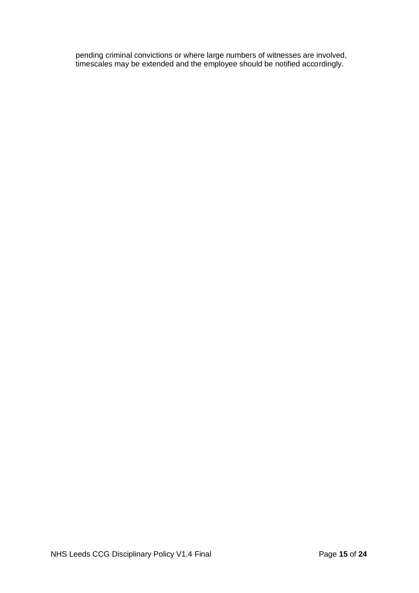pending criminal convictions or where large numbers of witnesses are involved, timescales may be extended and the employee should be notified accordingly.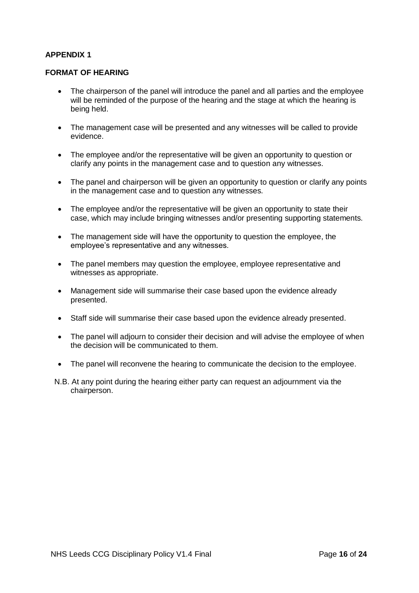#### **FORMAT OF HEARING**

- The chairperson of the panel will introduce the panel and all parties and the employee will be reminded of the purpose of the hearing and the stage at which the hearing is being held.
- The management case will be presented and any witnesses will be called to provide evidence.
- The employee and/or the representative will be given an opportunity to question or clarify any points in the management case and to question any witnesses.
- The panel and chairperson will be given an opportunity to question or clarify any points in the management case and to question any witnesses.
- The employee and/or the representative will be given an opportunity to state their case, which may include bringing witnesses and/or presenting supporting statements.
- The management side will have the opportunity to question the employee, the employee's representative and any witnesses.
- The panel members may question the employee, employee representative and witnesses as appropriate.
- Management side will summarise their case based upon the evidence already presented.
- Staff side will summarise their case based upon the evidence already presented.
- The panel will adjourn to consider their decision and will advise the employee of when the decision will be communicated to them.
- The panel will reconvene the hearing to communicate the decision to the employee.
- N.B. At any point during the hearing either party can request an adjournment via the chairperson.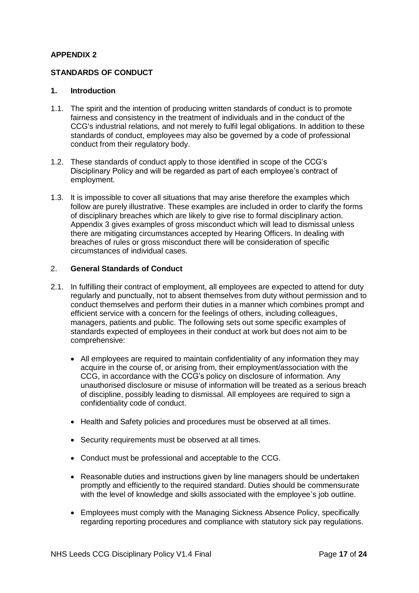# **STANDARDS OF CONDUCT**

#### **1. Introduction**

- 1.1. The spirit and the intention of producing written standards of conduct is to promote fairness and consistency in the treatment of individuals and in the conduct of the CCG's industrial relations, and not merely to fulfil legal obligations. In addition to these standards of conduct, employees may also be governed by a code of professional conduct from their regulatory body.
- 1.2. These standards of conduct apply to those identified in scope of the CCG's Disciplinary Policy and will be regarded as part of each employee's contract of employment.
- 1.3. It is impossible to cover all situations that may arise therefore the examples which follow are purely illustrative. These examples are included in order to clarify the forms of disciplinary breaches which are likely to give rise to formal disciplinary action. Appendix 3 gives examples of gross misconduct which will lead to dismissal unless there are mitigating circumstances accepted by Hearing Officers. In dealing with breaches of rules or gross misconduct there will be consideration of specific circumstances of individual cases.

#### 2. **General Standards of Conduct**

- 2.1. In fulfilling their contract of employment, all employees are expected to attend for duty regularly and punctually, not to absent themselves from duty without permission and to conduct themselves and perform their duties in a manner which combines prompt and efficient service with a concern for the feelings of others, including colleagues, managers, patients and public. The following sets out some specific examples of standards expected of employees in their conduct at work but does not aim to be comprehensive:
	- All employees are required to maintain confidentiality of any information they may acquire in the course of, or arising from, their employment/association with the CCG, in accordance with the CCG's policy on disclosure of information. Any unauthorised disclosure or misuse of information will be treated as a serious breach of discipline, possibly leading to dismissal. All employees are required to sign a confidentiality code of conduct.
	- Health and Safety policies and procedures must be observed at all times.
	- Security requirements must be observed at all times.
	- Conduct must be professional and acceptable to the CCG.
	- Reasonable duties and instructions given by line managers should be undertaken promptly and efficiently to the required standard. Duties should be commensurate with the level of knowledge and skills associated with the employee's job outline.
	- Employees must comply with the Managing Sickness Absence Policy, specifically regarding reporting procedures and compliance with statutory sick pay regulations.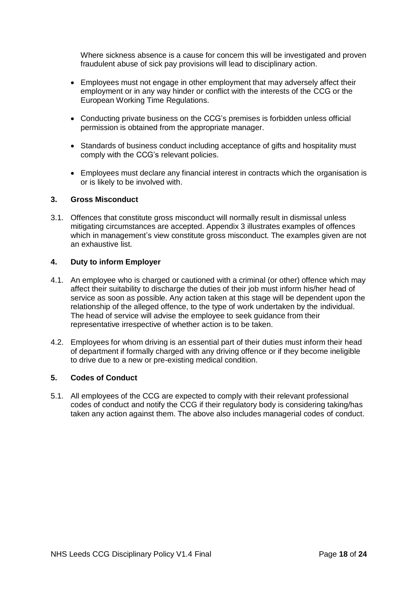Where sickness absence is a cause for concern this will be investigated and proven fraudulent abuse of sick pay provisions will lead to disciplinary action.

- Employees must not engage in other employment that may adversely affect their employment or in any way hinder or conflict with the interests of the CCG or the European Working Time Regulations.
- Conducting private business on the CCG's premises is forbidden unless official permission is obtained from the appropriate manager.
- Standards of business conduct including acceptance of gifts and hospitality must comply with the CCG's relevant policies.
- Employees must declare any financial interest in contracts which the organisation is or is likely to be involved with.

#### **3. Gross Misconduct**

3.1. Offences that constitute gross misconduct will normally result in dismissal unless mitigating circumstances are accepted. Appendix 3 illustrates examples of offences which in management's view constitute gross misconduct. The examples given are not an exhaustive list.

#### **4. Duty to inform Employer**

- 4.1. An employee who is charged or cautioned with a criminal (or other) offence which may affect their suitability to discharge the duties of their job must inform his/her head of service as soon as possible. Any action taken at this stage will be dependent upon the relationship of the alleged offence, to the type of work undertaken by the individual. The head of service will advise the employee to seek guidance from their representative irrespective of whether action is to be taken.
- 4.2. Employees for whom driving is an essential part of their duties must inform their head of department if formally charged with any driving offence or if they become ineligible to drive due to a new or pre-existing medical condition.

#### **5. Codes of Conduct**

5.1. All employees of the CCG are expected to comply with their relevant professional codes of conduct and notify the CCG if their regulatory body is considering taking/has taken any action against them. The above also includes managerial codes of conduct.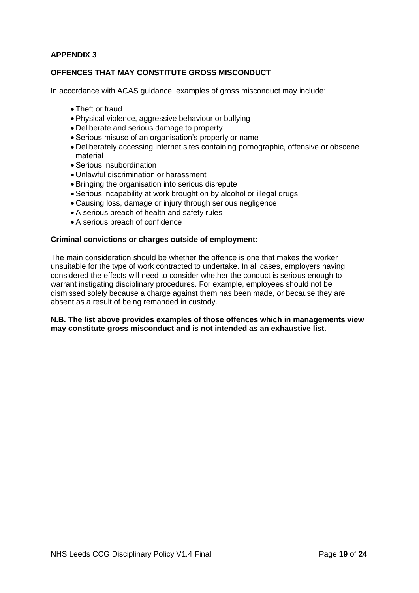# **OFFENCES THAT MAY CONSTITUTE GROSS MISCONDUCT**

In accordance with ACAS guidance, examples of gross misconduct may include:

- Theft or fraud
- Physical violence, aggressive behaviour or bullying
- Deliberate and serious damage to property
- Serious misuse of an organisation's property or name
- Deliberately accessing internet sites containing pornographic, offensive or obscene material
- Serious insubordination
- Unlawful discrimination or harassment
- Bringing the organisation into serious disrepute
- Serious incapability at work brought on by alcohol or illegal drugs
- Causing loss, damage or injury through serious negligence
- A serious breach of health and safety rules
- A serious breach of confidence

#### **Criminal convictions or charges outside of employment:**

The main consideration should be whether the offence is one that makes the worker unsuitable for the type of work contracted to undertake. In all cases, employers having considered the effects will need to consider whether the conduct is serious enough to warrant instigating disciplinary procedures. For example, employees should not be dismissed solely because a charge against them has been made, or because they are absent as a result of being remanded in custody.

#### **N.B. The list above provides examples of those offences which in managements view may constitute gross misconduct and is not intended as an exhaustive list.**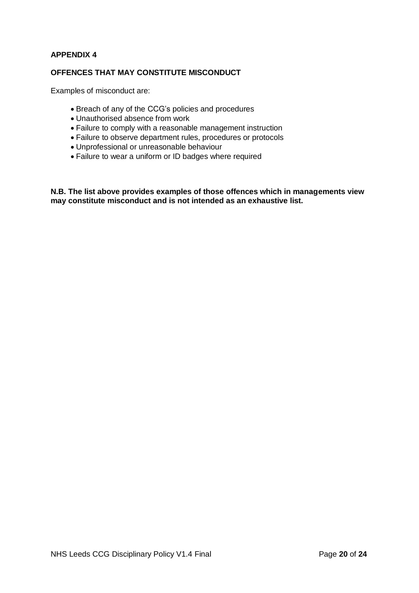## **OFFENCES THAT MAY CONSTITUTE MISCONDUCT**

Examples of misconduct are:

- Breach of any of the CCG's policies and procedures
- Unauthorised absence from work
- Failure to comply with a reasonable management instruction
- Failure to observe department rules, procedures or protocols
- Unprofessional or unreasonable behaviour
- Failure to wear a uniform or ID badges where required

**N.B. The list above provides examples of those offences which in managements view may constitute misconduct and is not intended as an exhaustive list.**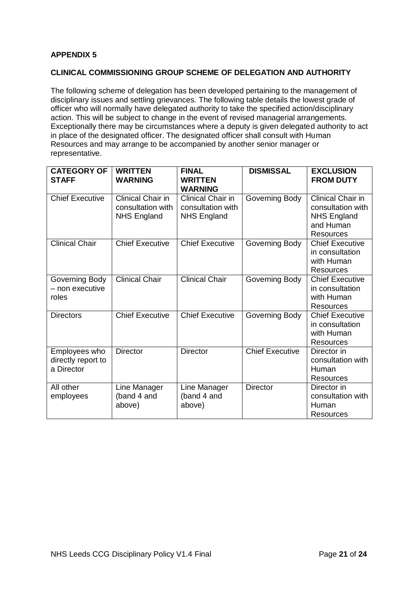# **CLINICAL COMMISSIONING GROUP SCHEME OF DELEGATION AND AUTHORITY**

The following scheme of delegation has been developed pertaining to the management of disciplinary issues and settling grievances. The following table details the lowest grade of officer who will normally have delegated authority to take the specified action/disciplinary action. This will be subject to change in the event of revised managerial arrangements. Exceptionally there may be circumstances where a deputy is given delegated authority to act in place of the designated officer. The designated officer shall consult with Human Resources and may arrange to be accompanied by another senior manager or representative.

| <b>CATEGORY OF</b><br><b>STAFF</b>                | <b>WRITTEN</b><br><b>WARNING</b>                             | <b>FINAL</b><br><b>WRITTEN</b><br><b>WARNING</b>             | <b>DISMISSAL</b>       | <b>EXCLUSION</b><br><b>FROM DUTY</b>                                                          |
|---------------------------------------------------|--------------------------------------------------------------|--------------------------------------------------------------|------------------------|-----------------------------------------------------------------------------------------------|
| <b>Chief Executive</b>                            | Clinical Chair in<br>consultation with<br><b>NHS England</b> | Clinical Chair in<br>consultation with<br><b>NHS England</b> | Governing Body         | Clinical Chair in<br>consultation with<br><b>NHS England</b><br>and Human<br><b>Resources</b> |
| <b>Clinical Chair</b>                             | <b>Chief Executive</b>                                       | <b>Chief Executive</b>                                       | Governing Body         | <b>Chief Executive</b><br>in consultation<br>with Human<br>Resources                          |
| Governing Body<br>– non executive<br>roles        | Clinical Chair                                               | <b>Clinical Chair</b>                                        | Governing Body         | <b>Chief Executive</b><br>in consultation<br>with Human<br><b>Resources</b>                   |
| <b>Directors</b>                                  | <b>Chief Executive</b>                                       | <b>Chief Executive</b>                                       | Governing Body         | <b>Chief Executive</b><br>in consultation<br>with Human<br><b>Resources</b>                   |
| Employees who<br>directly report to<br>a Director | <b>Director</b>                                              | <b>Director</b>                                              | <b>Chief Executive</b> | Director in<br>consultation with<br>Human<br><b>Resources</b>                                 |
| All other<br>employees                            | Line Manager<br>(band 4 and<br>above)                        | Line Manager<br>(band 4 and<br>above)                        | <b>Director</b>        | Director in<br>consultation with<br>Human<br>Resources                                        |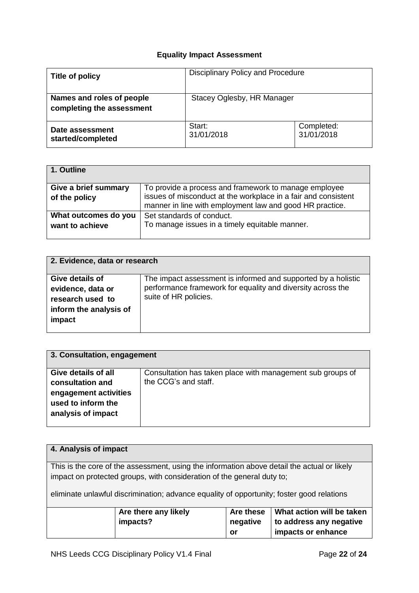# **Equality Impact Assessment**

| Title of policy                                        | Disciplinary Policy and Procedure |                          |  |
|--------------------------------------------------------|-----------------------------------|--------------------------|--|
| Names and roles of people<br>completing the assessment | Stacey Oglesby, HR Manager        |                          |  |
| Date assessment<br>started/completed                   | Start:<br>31/01/2018              | Completed:<br>31/01/2018 |  |

| 1. Outline           |                                                                |
|----------------------|----------------------------------------------------------------|
| Give a brief summary | To provide a process and framework to manage employee          |
| of the policy        | issues of misconduct at the workplace in a fair and consistent |
|                      | manner in line with employment law and good HR practice.       |
| What outcomes do you | Set standards of conduct.                                      |
| want to achieve      | To manage issues in a timely equitable manner.                 |
|                      |                                                                |

| 2. Evidence, data or research |                                                               |  |  |  |
|-------------------------------|---------------------------------------------------------------|--|--|--|
|                               |                                                               |  |  |  |
| Give details of               | The impact assessment is informed and supported by a holistic |  |  |  |
| evidence, data or             | performance framework for equality and diversity across the   |  |  |  |
| research used to              | suite of HR policies.                                         |  |  |  |
| inform the analysis of        |                                                               |  |  |  |
| impact                        |                                                               |  |  |  |
|                               |                                                               |  |  |  |

| 3. Consultation, engagement                                       |                                                            |  |  |
|-------------------------------------------------------------------|------------------------------------------------------------|--|--|
| Give details of all                                               | Consultation has taken place with management sub groups of |  |  |
| consultation and                                                  | the CCG's and staff.                                       |  |  |
| engagement activities<br>used to inform the<br>analysis of impact |                                                            |  |  |

| 4. Analysis of impact                                                                     |                                                                                             |          |                         |  |
|-------------------------------------------------------------------------------------------|---------------------------------------------------------------------------------------------|----------|-------------------------|--|
|                                                                                           |                                                                                             |          |                         |  |
|                                                                                           | This is the core of the assessment, using the information above detail the actual or likely |          |                         |  |
| impact on protected groups, with consideration of the general duty to;                    |                                                                                             |          |                         |  |
| eliminate unlawful discrimination; advance equality of opportunity; foster good relations |                                                                                             |          |                         |  |
| Are these<br>What action will be taken<br>Are there any likely                            |                                                                                             |          |                         |  |
|                                                                                           |                                                                                             |          |                         |  |
|                                                                                           | impacts?                                                                                    | negative | to address any negative |  |
|                                                                                           |                                                                                             | or       | impacts or enhance      |  |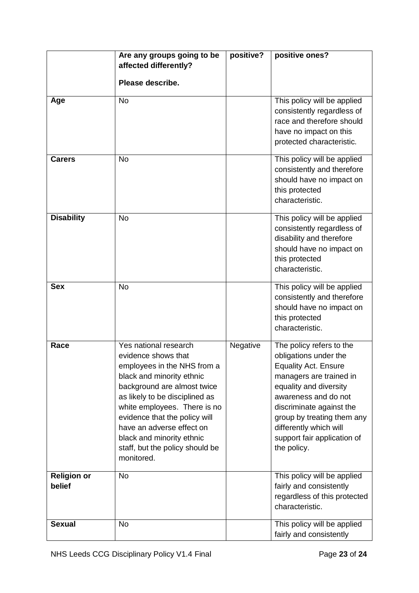|                              | Are any groups going to be<br>affected differently?                                                                                                                                                                                                                                                                                                   | positive? | positive ones?                                                                                                                                                                                                                                                                                  |
|------------------------------|-------------------------------------------------------------------------------------------------------------------------------------------------------------------------------------------------------------------------------------------------------------------------------------------------------------------------------------------------------|-----------|-------------------------------------------------------------------------------------------------------------------------------------------------------------------------------------------------------------------------------------------------------------------------------------------------|
|                              | Please describe.                                                                                                                                                                                                                                                                                                                                      |           |                                                                                                                                                                                                                                                                                                 |
| Age                          | <b>No</b>                                                                                                                                                                                                                                                                                                                                             |           | This policy will be applied<br>consistently regardless of<br>race and therefore should<br>have no impact on this<br>protected characteristic.                                                                                                                                                   |
| <b>Carers</b>                | <b>No</b>                                                                                                                                                                                                                                                                                                                                             |           | This policy will be applied<br>consistently and therefore<br>should have no impact on<br>this protected<br>characteristic.                                                                                                                                                                      |
| <b>Disability</b>            | <b>No</b>                                                                                                                                                                                                                                                                                                                                             |           | This policy will be applied<br>consistently regardless of<br>disability and therefore<br>should have no impact on<br>this protected<br>characteristic.                                                                                                                                          |
| <b>Sex</b>                   | <b>No</b>                                                                                                                                                                                                                                                                                                                                             |           | This policy will be applied<br>consistently and therefore<br>should have no impact on<br>this protected<br>characteristic.                                                                                                                                                                      |
| Race                         | Yes national research<br>evidence shows that<br>employees in the NHS from a<br>black and minority ethnic<br>background are almost twice<br>as likely to be disciplined as<br>white employees. There is no<br>evidence that the policy will<br>have an adverse effect on<br>black and minority ethnic<br>staff, but the policy should be<br>monitored. | Negative  | The policy refers to the<br>obligations under the<br><b>Equality Act. Ensure</b><br>managers are trained in<br>equality and diversity<br>awareness and do not<br>discriminate against the<br>group by treating them any<br>differently which will<br>support fair application of<br>the policy. |
| <b>Religion or</b><br>belief | <b>No</b>                                                                                                                                                                                                                                                                                                                                             |           | This policy will be applied<br>fairly and consistently<br>regardless of this protected<br>characteristic.                                                                                                                                                                                       |
| <b>Sexual</b>                | <b>No</b>                                                                                                                                                                                                                                                                                                                                             |           | This policy will be applied<br>fairly and consistently                                                                                                                                                                                                                                          |